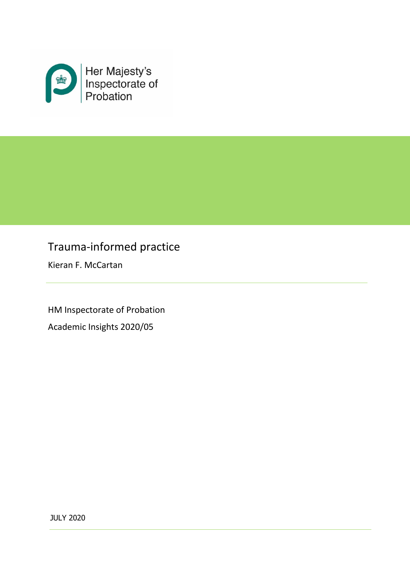

# Trauma-informed practice

Kieran F. McCartan

HM Inspectorate of Probation Academic Insights 2020/05

JULY 2020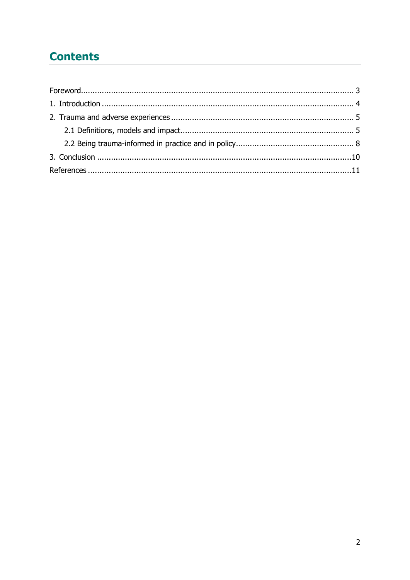# **Contents**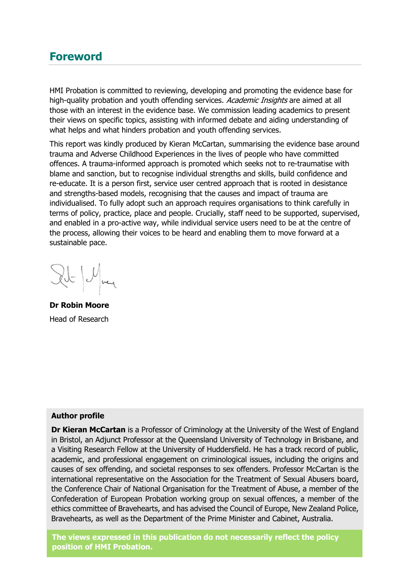### <span id="page-2-0"></span>**Foreword**

HMI Probation is committed to reviewing, developing and promoting the evidence base for high-quality probation and youth offending services. Academic Insights are aimed at all those with an interest in the evidence base. We commission leading academics to present their views on specific topics, assisting with informed debate and aiding understanding of what helps and what hinders probation and youth offending services.

This report was kindly produced by Kieran McCartan, summarising the evidence base around trauma and Adverse Childhood Experiences in the lives of people who have committed offences. A trauma-informed approach is promoted which seeks not to re-traumatise with blame and sanction, but to recognise individual strengths and skills, build confidence and re-educate. It is a person first, service user centred approach that is rooted in desistance and strengths-based models, recognising that the causes and impact of trauma are individualised. To fully adopt such an approach requires organisations to think carefully in terms of policy, practice, place and people. Crucially, staff need to be supported, supervised, and enabled in a pro-active way, while individual service users need to be at the centre of the process, allowing their voices to be heard and enabling them to move forward at a sustainable pace.

 $|U|_{\text{neq}}$ 

**Dr Robin Moore** Head of Research

#### **Author profile**

**Dr Kieran McCartan** is a Professor of Criminology at the University of the West of England in Bristol, an Adjunct Professor at the Queensland University of Technology in Brisbane, and a Visiting Research Fellow at the University of Huddersfield. He has a track record of public, academic, and professional engagement on criminological issues, including the origins and causes of sex offending, and societal responses to sex offenders. Professor McCartan is the international representative on the Association for the Treatment of Sexual Abusers board, the Conference Chair of National Organisation for the Treatment of Abuse, a member of the Confederation of European Probation working group on sexual offences, a member of the ethics committee of Bravehearts, and has advised the Council of Europe, New Zealand Police, Bravehearts, as well as the Department of the Prime Minister and Cabinet, Australia.

**The views expressed in this publication do not necessarily reflect the policy position of HMI Probation.**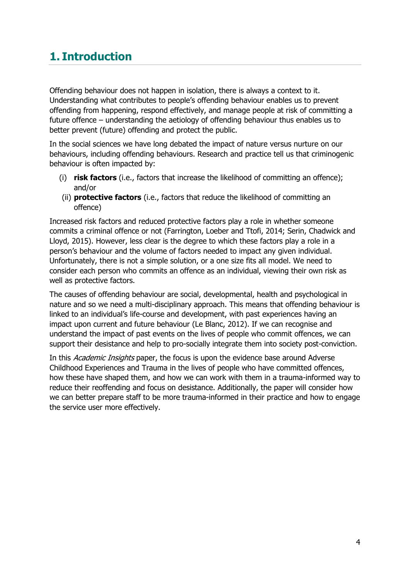# <span id="page-3-0"></span>**1. Introduction**

Offending behaviour does not happen in isolation, there is always a context to it. Understanding what contributes to people's offending behaviour enables us to prevent offending from happening, respond effectively, and manage people at risk of committing a future offence – understanding the aetiology of offending behaviour thus enables us to better prevent (future) offending and protect the public.

In the social sciences we have long debated the impact of nature versus nurture on our behaviours, including offending behaviours. Research and practice tell us that criminogenic behaviour is often impacted by:

- (i) **risk factors** (i.e., factors that increase the likelihood of committing an offence); and/or
- (ii) **protective factors** (i.e., factors that reduce the likelihood of committing an offence)

Increased risk factors and reduced protective factors play a role in whether someone commits a criminal offence or not (Farrington, Loeber and Ttofi, 2014; Serin, Chadwick and Lloyd, 2015). However, less clear is the degree to which these factors play a role in a person's behaviour and the volume of factors needed to impact any given individual. Unfortunately, there is not a simple solution, or a one size fits all model. We need to consider each person who commits an offence as an individual, viewing their own risk as well as protective factors.

The causes of offending behaviour are social, developmental, health and psychological in nature and so we need a multi-disciplinary approach. This means that offending behaviour is linked to an individual's life-course and development, with past experiences having an impact upon current and future behaviour (Le Blanc, 2012). If we can recognise and understand the impact of past events on the lives of people who commit offences, we can support their desistance and help to pro-socially integrate them into society post-conviction.

In this Academic Insights paper, the focus is upon the evidence base around Adverse Childhood Experiences and Trauma in the lives of people who have committed offences, how these have shaped them, and how we can work with them in a trauma-informed way to reduce their reoffending and focus on desistance. Additionally, the paper will consider how we can better prepare staff to be more trauma-informed in their practice and how to engage the service user more effectively.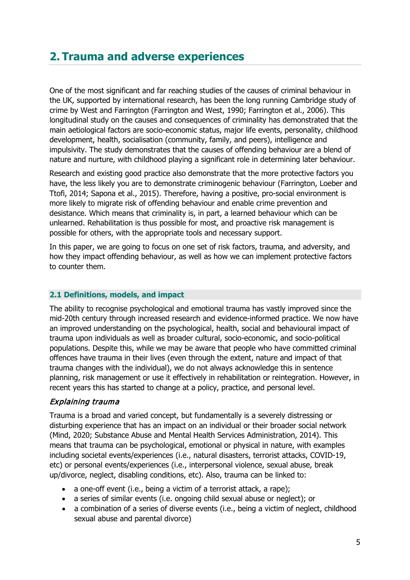## <span id="page-4-0"></span>**2. Trauma and adverse experiences**

One of the most significant and far reaching studies of the causes of criminal behaviour in the UK, supported by international research, has been the long running Cambridge study of crime by West and Farrington (Farrington and West, 1990; Farrington et al., 2006). This longitudinal study on the causes and consequences of criminality has demonstrated that the main aetiological factors are socio-economic status, major life events, personality, childhood development, health, socialisation (community, family, and peers), intelligence and impulsivity. The study demonstrates that the causes of offending behaviour are a blend of nature and nurture, with childhood playing a significant role in determining later behaviour.

Research and existing good practice also demonstrate that the more protective factors you have, the less likely you are to demonstrate criminogenic behaviour (Farrington, Loeber and Ttofi, 2014; Sapona et al., 2015). Therefore, having a positive, pro-social environment is more likely to migrate risk of offending behaviour and enable crime prevention and desistance. Which means that criminality is, in part, a learned behaviour which can be unlearned. Rehabilitation is thus possible for most, and proactive risk management is possible for others, with the appropriate tools and necessary support.

In this paper, we are going to focus on one set of risk factors, trauma, and adversity, and how they impact offending behaviour, as well as how we can implement protective factors to counter them.

#### <span id="page-4-1"></span>**2.1 Definitions, models, and impact**

The ability to recognise psychological and emotional trauma has vastly improved since the mid-20th century through increased research and evidence-informed practice. We now have an improved understanding on the psychological, health, social and behavioural impact of trauma upon individuals as well as broader cultural, socio-economic, and socio-political populations. Despite this, while we may be aware that people who have committed criminal offences have trauma in their lives (even through the extent, nature and impact of that trauma changes with the individual), we do not always acknowledge this in sentence planning, risk management or use it effectively in rehabilitation or reintegration. However, in recent years this has started to change at a policy, practice, and personal level.

#### Explaining trauma

Trauma is a broad and varied concept, but fundamentally is a severely distressing or disturbing experience that has an impact on an individual or their broader social network (Mind, 2020; Substance Abuse and Mental Health Services Administration, 2014). This means that trauma can be psychological, emotional or physical in nature, with examples including societal events/experiences (i.e., natural disasters, terrorist attacks, COVID-19, etc) or personal events/experiences (i.e., interpersonal violence, sexual abuse, break up/divorce, neglect, disabling conditions, etc). Also, trauma can be linked to:

- a one-off event (i.e., being a victim of a terrorist attack, a rape);
- a series of similar events (i.e. ongoing child sexual abuse or neglect); or
- a combination of a series of diverse events (i.e., being a victim of neglect, childhood sexual abuse and parental divorce)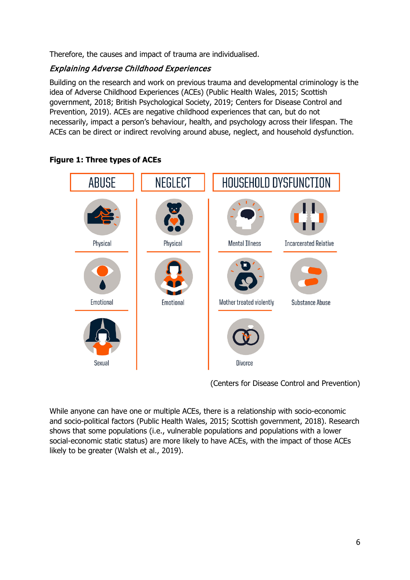Therefore, the causes and impact of trauma are individualised.

### Explaining Adverse Childhood Experiences

Building on the research and work on previous trauma and developmental criminology is the idea of Adverse Childhood Experiences (ACEs) (Public Health Wales, 2015; Scottish government, 2018; British Psychological Society, 2019; Centers for Disease Control and Prevention, 2019). ACEs are negative childhood experiences that can, but do not necessarily, impact a person's behaviour, health, and psychology across their lifespan. The ACEs can be direct or indirect revolving around abuse, neglect, and household dysfunction.



**Figure 1: Three types of ACEs**

(Centers for Disease Control and Prevention)

While anyone can have one or multiple ACEs, there is a relationship with socio-economic and socio-political factors (Public Health Wales, 2015; Scottish government, 2018). Research shows that some populations (i.e., vulnerable populations and populations with a lower social-economic static status) are more likely to have ACEs, with the impact of those ACEs likely to be greater (Walsh et al., 2019).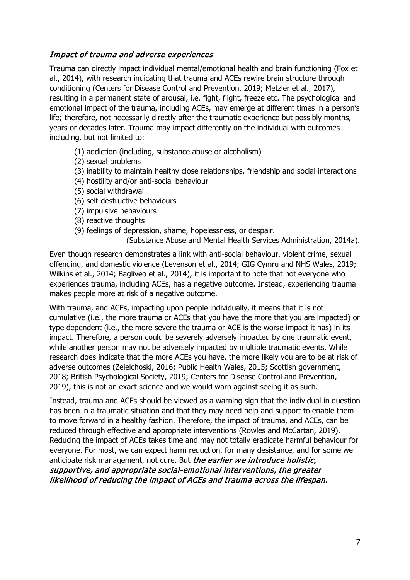### Impact of trauma and adverse experiences

Trauma can directly impact individual mental/emotional health and brain functioning (Fox et al., 2014), with research indicating that trauma and ACEs rewire brain structure through conditioning (Centers for Disease Control and Prevention, 2019; Metzler et al., 2017), resulting in a permanent state of arousal, i.e. fight, flight, freeze etc. The psychological and emotional impact of the trauma, including ACEs, may emerge at different times in a person's life; therefore, not necessarily directly after the traumatic experience but possibly months, years or decades later. Trauma may impact differently on the individual with outcomes including, but not limited to:

- (1) addiction (including, substance abuse or alcoholism)
- (2) sexual problems
- (3) inability to maintain healthy close relationships, friendship and social interactions
- (4) hostility and/or anti-social behaviour
- (5) social withdrawal
- (6) self-destructive behaviours
- (7) impulsive behaviours
- (8) reactive thoughts
- (9) feelings of depression, shame, hopelessness, or despair.

(Substance Abuse and Mental Health Services Administration, 2014a).

Even though research demonstrates a link with anti-social behaviour, violent crime, sexual offending, and domestic violence (Levenson et al., 2014; GIG Cymru and NHS Wales, 2019; Wilkins et al., 2014; Bagliveo et al., 2014), it is important to note that not everyone who experiences trauma, including ACEs, has a negative outcome. Instead, experiencing trauma makes people more at risk of a negative outcome.

With trauma, and ACEs, impacting upon people individually, it means that it is not cumulative (i.e., the more trauma or ACEs that you have the more that you are impacted) or type dependent (i.e., the more severe the trauma or ACE is the worse impact it has) in its impact. Therefore, a person could be severely adversely impacted by one traumatic event, while another person may not be adversely impacted by multiple traumatic events. While research does indicate that the more ACEs you have, the more likely you are to be at risk of adverse outcomes (Zelelchoski, 2016; Public Health Wales, 2015; Scottish government, 2018; British Psychological Society, 2019; Centers for Disease Control and Prevention, 2019), this is not an exact science and we would warn against seeing it as such.

Instead, trauma and ACEs should be viewed as a warning sign that the individual in question has been in a traumatic situation and that they may need help and support to enable them to move forward in a healthy fashion. Therefore, the impact of trauma, and ACEs, can be reduced through effective and appropriate interventions (Rowles and McCartan, 2019). Reducing the impact of ACEs takes time and may not totally eradicate harmful behaviour for everyone. For most, we can expect harm reduction, for many desistance, and for some we anticipate risk management, not cure. But the earlier we introduce holistic, supportive, and appropriate social-emotional interventions, the greater likelihood of reducing the impact of ACEs and trauma across the lifespan.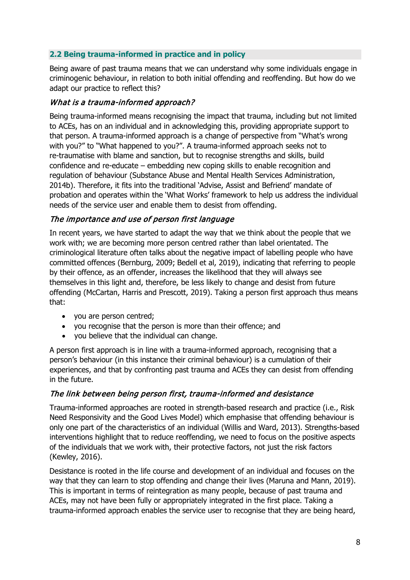#### <span id="page-7-0"></span>**2.2 Being trauma-informed in practice and in policy**

Being aware of past trauma means that we can understand why some individuals engage in criminogenic behaviour, in relation to both initial offending and reoffending. But how do we adapt our practice to reflect this?

#### What is a trauma-informed approach?

Being trauma-informed means recognising the impact that trauma, including but not limited to ACEs, has on an individual and in acknowledging this, providing appropriate support to that person. A trauma-informed approach is a change of perspective from "What's wrong with you?" to "What happened to you?". A trauma-informed approach seeks not to re-traumatise with blame and sanction, but to recognise strengths and skills, build confidence and re-educate – embedding new coping skills to enable recognition and regulation of behaviour (Substance Abuse and Mental Health Services Administration, 2014b). Therefore, it fits into the traditional 'Advise, Assist and Befriend' mandate of probation and operates within the 'What Works' framework to help us address the individual needs of the service user and enable them to desist from offending.

#### The importance and use of person first language

In recent years, we have started to adapt the way that we think about the people that we work with; we are becoming more person centred rather than label orientated. The criminological literature often talks about the negative impact of labelling people who have committed offences (Bernburg, 2009; Bedell et al, 2019), indicating that referring to people by their offence, as an offender, increases the likelihood that they will always see themselves in this light and, therefore, be less likely to change and desist from future offending (McCartan, Harris and Prescott, 2019). Taking a person first approach thus means that:

- you are person centred;
- you recognise that the person is more than their offence; and
- you believe that the individual can change.

A person first approach is in line with a trauma-informed approach, recognising that a person's behaviour (in this instance their criminal behaviour) is a cumulation of their experiences, and that by confronting past trauma and ACEs they can desist from offending in the future.

#### The link between being person first, trauma-informed and desistance

Trauma-informed approaches are rooted in strength-based research and practice (i.e., Risk Need Responsivity and the Good Lives Model) which emphasise that offending behaviour is only one part of the characteristics of an individual (Willis and Ward, 2013). Strengths-based interventions highlight that to reduce reoffending, we need to focus on the positive aspects of the individuals that we work with, their protective factors, not just the risk factors (Kewley, 2016).

Desistance is rooted in the life course and development of an individual and focuses on the way that they can learn to stop offending and change their lives (Maruna and Mann, 2019). This is important in terms of reintegration as many people, because of past trauma and ACEs, may not have been fully or appropriately integrated in the first place. Taking a trauma-informed approach enables the service user to recognise that they are being heard,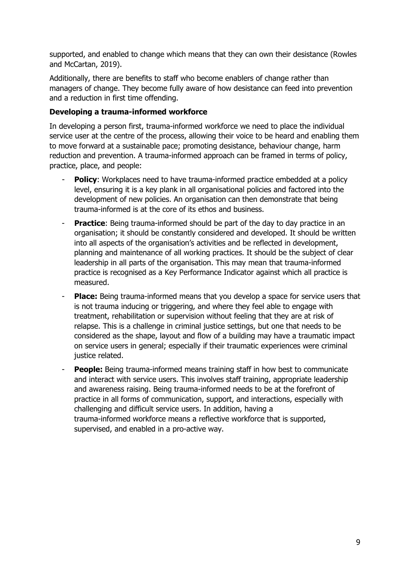supported, and enabled to change which means that they can own their desistance (Rowles and McCartan, 2019).

Additionally, there are benefits to staff who become enablers of change rather than managers of change. They become fully aware of how desistance can feed into prevention and a reduction in first time offending.

### **Developing a trauma-informed workforce**

In developing a person first, trauma-informed workforce we need to place the individual service user at the centre of the process, allowing their voice to be heard and enabling them to move forward at a sustainable pace; promoting desistance, behaviour change, harm reduction and prevention. A trauma-informed approach can be framed in terms of policy, practice, place, and people:

- **Policy:** Workplaces need to have trauma-informed practice embedded at a policy level, ensuring it is a key plank in all organisational policies and factored into the development of new policies. An organisation can then demonstrate that being trauma-informed is at the core of its ethos and business.
- **Practice**: Being trauma-informed should be part of the day to day practice in an organisation; it should be constantly considered and developed. It should be written into all aspects of the organisation's activities and be reflected in development, planning and maintenance of all working practices. It should be the subject of clear leadership in all parts of the organisation. This may mean that trauma-informed practice is recognised as a Key Performance Indicator against which all practice is measured.
- **Place:** Being trauma-informed means that you develop a space for service users that is not trauma inducing or triggering, and where they feel able to engage with treatment, rehabilitation or supervision without feeling that they are at risk of relapse. This is a challenge in criminal justice settings, but one that needs to be considered as the shape, layout and flow of a building may have a traumatic impact on service users in general; especially if their traumatic experiences were criminal justice related.
- **People:** Being trauma-informed means training staff in how best to communicate and interact with service users. This involves staff training, appropriate leadership and awareness raising. Being trauma-informed needs to be at the forefront of practice in all forms of communication, support, and interactions, especially with challenging and difficult service users. In addition, having a trauma-informed workforce means a reflective workforce that is supported, supervised, and enabled in a pro-active way.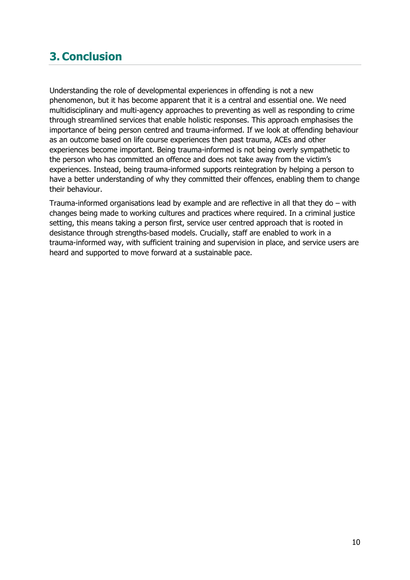# <span id="page-9-0"></span>**3. Conclusion**

Understanding the role of developmental experiences in offending is not a new phenomenon, but it has become apparent that it is a central and essential one. We need multidisciplinary and multi-agency approaches to preventing as well as responding to crime through streamlined services that enable holistic responses. This approach emphasises the importance of being person centred and trauma-informed. If we look at offending behaviour as an outcome based on life course experiences then past trauma, ACEs and other experiences become important. Being trauma-informed is not being overly sympathetic to the person who has committed an offence and does not take away from the victim's experiences. Instead, being trauma-informed supports reintegration by helping a person to have a better understanding of why they committed their offences, enabling them to change their behaviour.

Trauma-informed organisations lead by example and are reflective in all that they do – with changes being made to working cultures and practices where required. In a criminal justice setting, this means taking a person first, service user centred approach that is rooted in desistance through strengths-based models. Crucially, staff are enabled to work in a trauma-informed way, with sufficient training and supervision in place, and service users are heard and supported to move forward at a sustainable pace.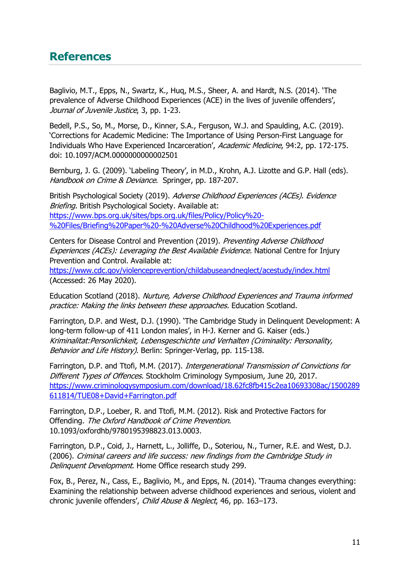## <span id="page-10-0"></span>**References**

Baglivio, M.T., Epps, N., Swartz, K., Huq, M.S., Sheer, A. and Hardt, N.S. (2014). 'The prevalence of Adverse Childhood Experiences (ACE) in the lives of juvenile offenders', Journal of Juvenile Justice, 3, pp. 1-23.

Bedell, P.S., So, M., Morse, D., Kinner, S.A., Ferguson, W.J. and Spaulding, A.C. (2019). 'Corrections for Academic Medicine: The Importance of Using Person-First Language for Individuals Who Have Experienced Incarceration', Academic Medicine, 94:2, pp. 172-175. doi: 10.1097/ACM.0000000000002501

Bernburg, J. G. (2009). 'Labeling Theory', in M.D., Krohn, A.J. Lizotte and G.P. Hall (eds). Handbook on Crime & Deviance. Springer, pp. 187-207.

British Psychological Society (2019). Adverse Childhood Experiences (ACEs). Evidence Briefing. British Psychological Society. Available at: [https://www.bps.org.uk/sites/bps.org.uk/files/Policy/Policy%20-](https://www.bps.org.uk/sites/bps.org.uk/files/Policy/Policy%20-%20Files/Briefing%20Paper%20-%20Adverse%20Childhood%20Experiences.pdf) [%20Files/Briefing%20Paper%20-%20Adverse%20Childhood%20Experiences.pdf](https://www.bps.org.uk/sites/bps.org.uk/files/Policy/Policy%20-%20Files/Briefing%20Paper%20-%20Adverse%20Childhood%20Experiences.pdf)

Centers for Disease Control and Prevention (2019). Preventing Adverse Childhood Experiences (ACEs): Leveraging the Best Available Evidence. National Centre for Injury Prevention and Control. Available at:

<https://www.cdc.gov/violenceprevention/childabuseandneglect/acestudy/index.html> (Accessed: 26 May 2020).

Education Scotland (2018). Nurture, Adverse Childhood Experiences and Trauma informed practice: Making the links between these approaches. Education Scotland.

Farrington, D.P. and West, D.J. (1990). 'The Cambridge Study in Delinquent Development: A long-term follow-up of 411 London males', in H-J. Kerner and G. Kaiser (eds.) Kriminalitat:Personlichkeit, Lebensgeschichte und Verhalten (Criminality: Personality, Behavior and Life History). Berlin: Springer-Verlag, pp. 115-138.

Farrington, D.P. and Ttofi, M.M. (2017). Intergenerational Transmission of Convictions for Different Types of Offences. Stockholm Criminology Symposium, June 20, 2017. [https://www.criminologysymposium.com/download/18.62fc8fb415c2ea10693308ac/1500289](https://www.criminologysymposium.com/download/18.62fc8fb415c2ea10693308ac/1500289611814/TUE08+David+Farrington.pdf) [611814/TUE08+David+Farrington.pdf](https://www.criminologysymposium.com/download/18.62fc8fb415c2ea10693308ac/1500289611814/TUE08+David+Farrington.pdf)

Farrington, D.P., Loeber, R. and Ttofi, M.M. (2012). Risk and Protective Factors for Offending. The Oxford Handbook of Crime Prevention. 10.1093/oxfordhb/9780195398823.013.0003.

Farrington, D.P., Coid, J., Harnett, L., Jolliffe, D., Soteriou, N., Turner, R.E. and West, D.J. (2006). Criminal careers and life success: new findings from the Cambridge Study in Delinquent Development. Home Office research study 299.

Fox, B., Perez, N., Cass, E., Baglivio, M., and Epps, N. (2014). 'Trauma changes everything: Examining the relationship between adverse childhood experiences and serious, violent and chronic juvenile offenders', Child Abuse & Neglect, 46, pp. 163-173.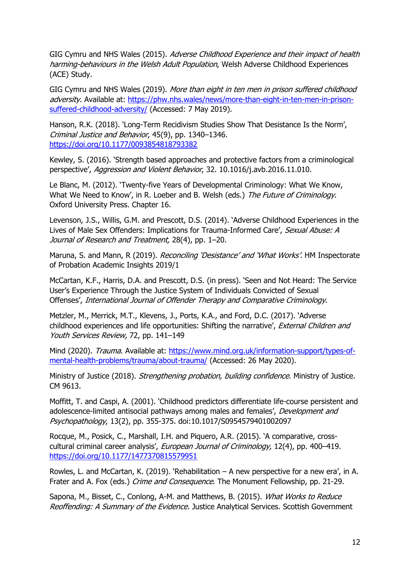GIG Cymru and NHS Wales (2015). Adverse Childhood Experience and their impact of health harming-behaviours in the Welsh Adult Population, Welsh Adverse Childhood Experiences (ACE) Study.

GIG Cymru and NHS Wales (2019). More than eight in ten men in prison suffered childhood adversity. Available at: [https://phw.nhs.wales/news/more-than-eight-in-ten-men-in-prison](https://phw.nhs.wales/news/more-than-eight-in-ten-men-in-prison-suffered-childhood-adversity/)[suffered-childhood-adversity/](https://phw.nhs.wales/news/more-than-eight-in-ten-men-in-prison-suffered-childhood-adversity/) (Accessed: 7 May 2019).

Hanson, R.K. (2018). 'Long-Term Recidivism Studies Show That Desistance Is the Norm', Criminal Justice and Behavior, 45(9), pp. 1340–1346. <https://doi.org/10.1177/0093854818793382>

Kewley, S. (2016). 'Strength based approaches and protective factors from a criminological perspective', Aggression and Violent Behavior, 32. 10.1016/j.avb.2016.11.010.

Le Blanc, M. (2012). 'Twenty-five Years of Developmental Criminology: What We Know, What We Need to Know', in R. Loeber and B. Welsh (eds.) The Future of Criminology. Oxford University Press. Chapter 16.

Levenson, J.S., Willis, G.M. and Prescott, D.S. (2014). 'Adverse Childhood Experiences in the Lives of Male Sex Offenders: Implications for Trauma-Informed Care', Sexual Abuse: A Journal of Research and Treatment, 28(4), pp. 1-20.

Maruna, S. and Mann, R (2019). Reconciling 'Desistance' and 'What Works'. HM Inspectorate of Probation Academic Insights 2019/1

McCartan, K.F., Harris, D.A. and Prescott, D.S. (in press). 'Seen and Not Heard: The [Service](https://uwe-repository.worktribe.com/output/848049) User's [Experience](https://uwe-repository.worktribe.com/output/848049) Through the Justice System of Individuals Convicted of Sexual [Offenses',](https://uwe-repository.worktribe.com/output/848049) International Journal of Offender Therapy and Comparative Criminology.

Metzler, M., Merrick, M.T., Klevens, J., Ports, K.A., and Ford, D.C. (2017). 'Adverse childhood experiences and life opportunities: Shifting the narrative', External Children and Youth Services Review, 72, pp. 141–149

Mind (2020). Trauma. Available at: [https://www.mind.org.uk/information-support/types-of](https://www.mind.org.uk/information-support/types-of-mental-health-problems/trauma/about-trauma/)[mental-health-problems/trauma/about-trauma/](https://www.mind.org.uk/information-support/types-of-mental-health-problems/trauma/about-trauma/) (Accessed: 26 May 2020).

Ministry of Justice (2018). Strengthening probation, building confidence. Ministry of Justice. CM 9613.

Moffitt, T. and Caspi, A. (2001). 'Childhood predictors differentiate life-course persistent and adolescence-limited antisocial pathways among males and females', Development and Psychopathology, 13(2), pp. 355-375. doi:10.1017/S0954579401002097

Rocque, M., Posick, C., Marshall, I.H. and Piquero, A.R. (2015). 'A comparative, crosscultural criminal career analysis', European Journal of Criminology, 12(4), pp. 400-419. <https://doi.org/10.1177/1477370815579951>

Rowles, L. and McCartan, K. (2019). ['Rehabilitation](https://uwe-repository.worktribe.com/output/4675826) – A new perspective for a new era', in A. Frater and A. Fox (eds.) Crime and Consequence. The Monument Fellowship, pp. 21-29.

Sapona, M., Bisset, C., Conlong, A-M. and Matthews, B. (2015). What Works to Reduce Reoffending: A Summary of the Evidence. Justice Analytical Services. Scottish Government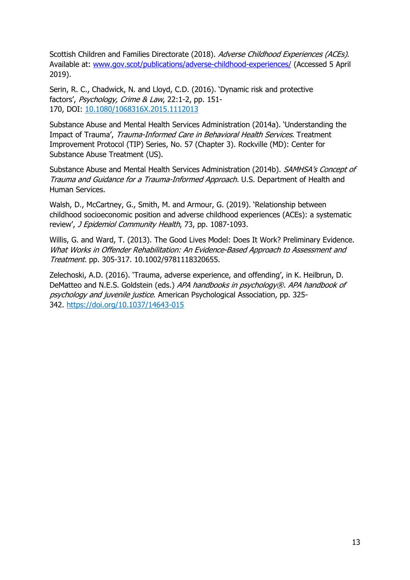Scottish Children and Families Directorate (2018). Adverse Childhood Experiences (ACEs). Available at: [www.gov.scot/publications/adverse-childhood-experiences/](http://www.gov.scot/publications/adverse-childhood-experiences/) (Accessed 5 April 2019).

Serin, R. C., Chadwick, N. and Lloyd, C.D. (2016). 'Dynamic risk and protective factors', Psychology, Crime & Law, 22:1-2, pp. 151- 170, DOI: [10.1080/1068316X.2015.1112013](https://doi.org/10.1080/1068316X.2015.1112013)

Substance Abuse and Mental Health Services Administration (2014a). 'Understanding the Impact of Trauma', Trauma-Informed Care in Behavioral Health Services. Treatment Improvement Protocol (TIP) Series, No. 57 (Chapter 3). Rockville (MD): Center for Substance Abuse Treatment (US).

Substance Abuse and Mental Health Services Administration (2014b). SAMHSA's Concept of Trauma and Guidance for <sup>a</sup> Trauma-Informed Approach. U.S. Department of Health and Human Services.

Walsh, D., McCartney, G., Smith, M. and Armour, G. (2019). 'Relationship between childhood socioeconomic position and adverse childhood experiences (ACEs): a systematic review', J Epidemiol Community Health, 73, pp. 1087-1093.

Willis, G. and Ward, T. (2013). The Good Lives Model: Does It Work? Preliminary Evidence. What Works in Offender Rehabilitation: An Evidence-Based Approach to Assessment and Treatment. pp. 305-317. 10.1002/9781118320655.

Zelechoski, A.D. (2016). 'Trauma, adverse experience, and offending', in K. Heilbrun, D. DeMatteo and N.E.S. Goldstein (eds.) APA handbooks in psychology®. APA handbook of psychology and juvenile justice. American Psychological Association, pp. 325- 342. [https://doi.org/10.1037/14643-015](https://psycnet.apa.org/doi/10.1037/14643-015)